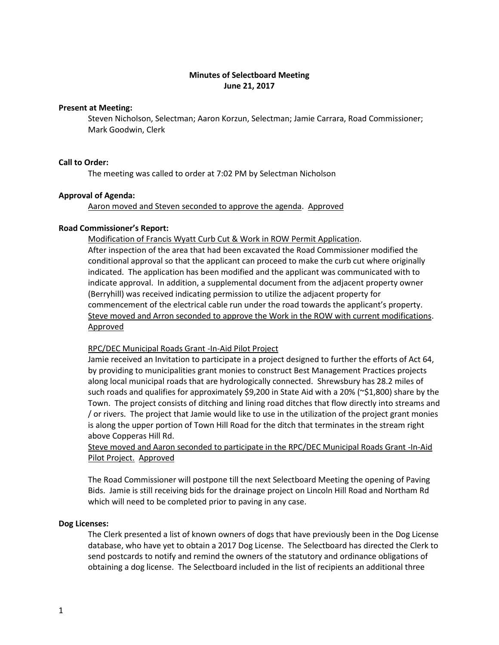# **Minutes of Selectboard Meeting June 21, 2017**

## **Present at Meeting:**

Steven Nicholson, Selectman; Aaron Korzun, Selectman; Jamie Carrara, Road Commissioner; Mark Goodwin, Clerk

## **Call to Order:**

The meeting was called to order at 7:02 PM by Selectman Nicholson

## **Approval of Agenda:**

Aaron moved and Steven seconded to approve the agenda. Approved

### **Road Commissioner's Report:**

Modification of Francis Wyatt Curb Cut & Work in ROW Permit Application.

After inspection of the area that had been excavated the Road Commissioner modified the conditional approval so that the applicant can proceed to make the curb cut where originally indicated. The application has been modified and the applicant was communicated with to indicate approval. In addition, a supplemental document from the adjacent property owner (Berryhill) was received indicating permission to utilize the adjacent property for commencement of the electrical cable run under the road towards the applicant's property. Steve moved and Arron seconded to approve the Work in the ROW with current modifications. Approved

## RPC/DEC Municipal Roads Grant -In-Aid Pilot Project

Jamie received an Invitation to participate in a project designed to further the efforts of Act 64, by providing to municipalities grant monies to construct Best Management Practices projects along local municipal roads that are hydrologically connected. Shrewsbury has 28.2 miles of such roads and qualifies for approximately \$9,200 in State Aid with a 20% (~\$1,800) share by the Town. The project consists of ditching and lining road ditches that flow directly into streams and / or rivers. The project that Jamie would like to use in the utilization of the project grant monies is along the upper portion of Town Hill Road for the ditch that terminates in the stream right above Copperas Hill Rd.

Steve moved and Aaron seconded to participate in the RPC/DEC Municipal Roads Grant -In-Aid Pilot Project. Approved

The Road Commissioner will postpone till the next Selectboard Meeting the opening of Paving Bids. Jamie is still receiving bids for the drainage project on Lincoln Hill Road and Northam Rd which will need to be completed prior to paving in any case.

### **Dog Licenses:**

The Clerk presented a list of known owners of dogs that have previously been in the Dog License database, who have yet to obtain a 2017 Dog License. The Selectboard has directed the Clerk to send postcards to notify and remind the owners of the statutory and ordinance obligations of obtaining a dog license. The Selectboard included in the list of recipients an additional three